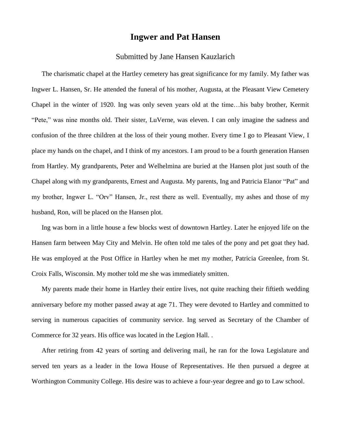## **Ingwer and Pat Hansen**

## Submitted by Jane Hansen Kauzlarich

The charismatic chapel at the Hartley cemetery has great significance for my family. My father was Ingwer L. Hansen, Sr. He attended the funeral of his mother, Augusta, at the Pleasant View Cemetery Chapel in the winter of 1920. Ing was only seven years old at the time…his baby brother, Kermit "Pete," was nine months old. Their sister, LuVerne, was eleven. I can only imagine the sadness and confusion of the three children at the loss of their young mother. Every time I go to Pleasant View, I place my hands on the chapel, and I think of my ancestors. I am proud to be a fourth generation Hansen from Hartley. My grandparents, Peter and Welhelmina are buried at the Hansen plot just south of the Chapel along with my grandparents, Ernest and Augusta. My parents, Ing and Patricia Elanor "Pat" and my brother, Ingwer L. "Orv" Hansen, Jr., rest there as well. Eventually, my ashes and those of my husband, Ron, will be placed on the Hansen plot.

Ing was born in a little house a few blocks west of downtown Hartley. Later he enjoyed life on the Hansen farm between May City and Melvin. He often told me tales of the pony and pet goat they had. He was employed at the Post Office in Hartley when he met my mother, Patricia Greenlee, from St. Croix Falls, Wisconsin. My mother told me she was immediately smitten.

My parents made their home in Hartley their entire lives, not quite reaching their fiftieth wedding anniversary before my mother passed away at age 71. They were devoted to Hartley and committed to serving in numerous capacities of community service. Ing served as Secretary of the Chamber of Commerce for 32 years. His office was located in the Legion Hall. .

After retiring from 42 years of sorting and delivering mail, he ran for the Iowa Legislature and served ten years as a leader in the Iowa House of Representatives. He then pursued a degree at Worthington Community College. His desire was to achieve a four-year degree and go to Law school.